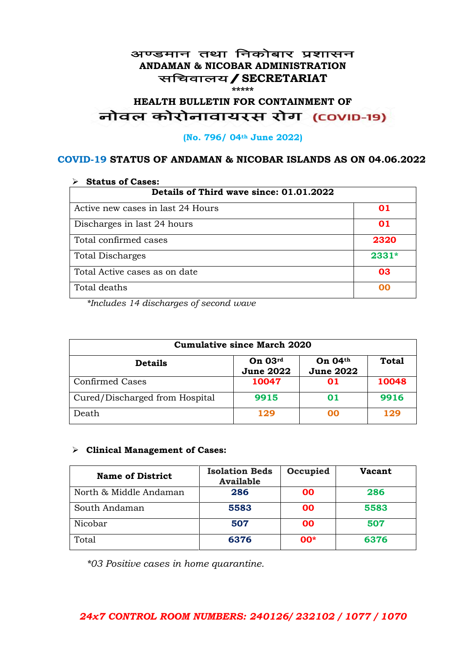### अण्डमान तथा निकोबार प्रशासन **ANDAMAN & NICOBAR ADMINISTRATION** सचिवालय / SECRETARIAT **\*\*\*\*\***

# HEALTH BULLETIN FOR CONTAINMENT OF<br>बोवल कोरोनावायरस रोग (COVID-19)

#### **(No. 796/ 04th June 2022)**

### **COVID-19 STATUS OF ANDAMAN & NICOBAR ISLANDS AS ON 04.06.2022**

| <b>Status of Cases:</b>                 |         |  |
|-----------------------------------------|---------|--|
| Details of Third wave since: 01.01.2022 |         |  |
| Active new cases in last 24 Hours       | 01      |  |
| Discharges in last 24 hours             | 01      |  |
| Total confirmed cases                   | 2320    |  |
| <b>Total Discharges</b>                 | $2331*$ |  |
| Total Active cases as on date           | 03      |  |
| Total deaths                            | na      |  |

*\*Includes 14 discharges of second wave*

| <b>Cumulative since March 2020</b> |                             |                                    |              |
|------------------------------------|-----------------------------|------------------------------------|--------------|
| <b>Details</b>                     | On 03rd<br><b>June 2022</b> | <b>On 04th</b><br><b>June 2022</b> | <b>Total</b> |
| <b>Confirmed Cases</b>             | 10047                       | 01                                 | 10048        |
| Cured/Discharged from Hospital     | 9915                        | 01                                 | 9916         |
| Death                              | 129                         | ററ                                 | 129          |

### ➢ **Clinical Management of Cases:**

| <b>Name of District</b> | <b>Isolation Beds</b><br><b>Available</b> | Occupied | <b>Vacant</b> |
|-------------------------|-------------------------------------------|----------|---------------|
| North & Middle Andaman  | 286                                       | 00       | 286           |
| South Andaman           | 5583                                      | 00       | 5583          |
| Nicobar                 | 507                                       | 00       | 507           |
| Total                   | 6376                                      | $00*$    | 6376          |

*\*03 Positive cases in home quarantine.*

## *24x7 CONTROL ROOM NUMBERS: 240126/ 232102 / 1077 / 1070*